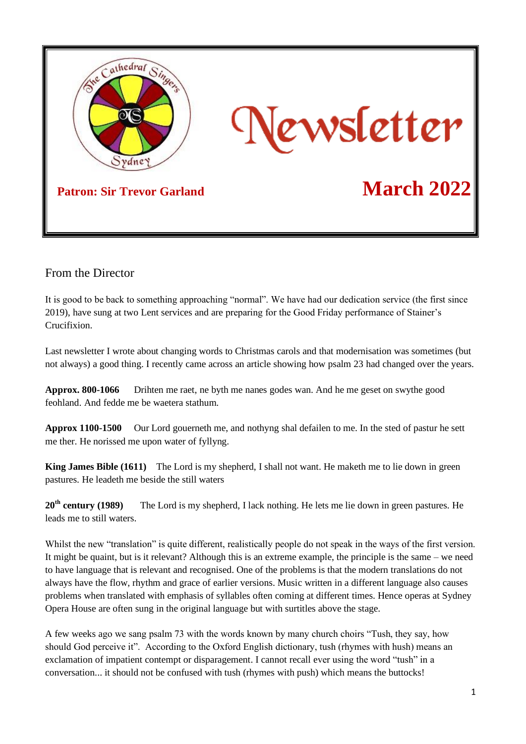

## From the Director

It is good to be back to something approaching "normal". We have had our dedication service (the first since 2019), have sung at two Lent services and are preparing for the Good Friday performance of Stainer's Crucifixion.

Last newsletter I wrote about changing words to Christmas carols and that modernisation was sometimes (but not always) a good thing. I recently came across an article showing how psalm 23 had changed over the years.

**Approx. 800-1066** Drihten me raet, ne byth me nanes godes wan. And he me geset on swythe good feohland. And fedde me be waetera stathum.

**Approx 1100-1500** Our Lord gouerneth me, and nothyng shal defailen to me. In the sted of pastur he sett me ther. He norissed me upon water of fyllyng.

**King James Bible (1611)** The Lord is my shepherd, I shall not want. He maketh me to lie down in green pastures. He leadeth me beside the still waters

**20th century (1989)** The Lord is my shepherd, I lack nothing. He lets me lie down in green pastures. He leads me to still waters.

Whilst the new "translation" is quite different, realistically people do not speak in the ways of the first version. It might be quaint, but is it relevant? Although this is an extreme example, the principle is the same – we need to have language that is relevant and recognised. One of the problems is that the modern translations do not always have the flow, rhythm and grace of earlier versions. Music written in a different language also causes problems when translated with emphasis of syllables often coming at different times. Hence operas at Sydney Opera House are often sung in the original language but with surtitles above the stage.

A few weeks ago we sang psalm 73 with the words known by many church choirs "Tush, they say, how should God perceive it". According to the Oxford English dictionary, tush (rhymes with hush) means an exclamation of impatient contempt or disparagement. I cannot recall ever using the word "tush" in a conversation... it should not be confused with tush (rhymes with push) which means the buttocks!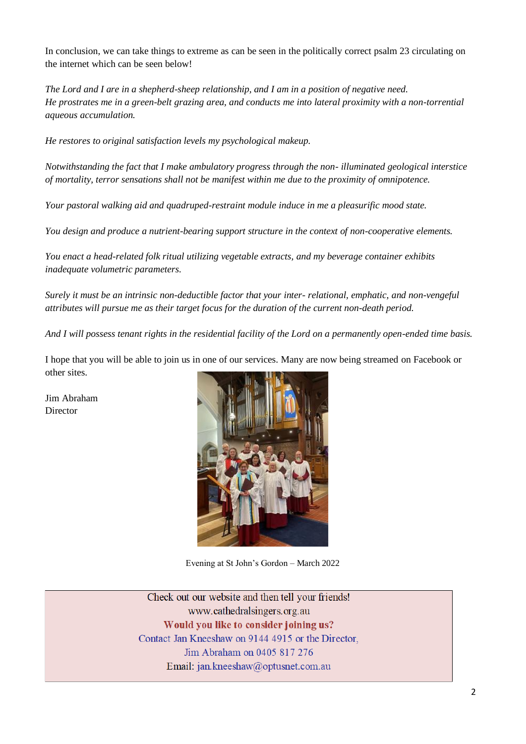In conclusion, we can take things to extreme as can be seen in the politically correct psalm 23 circulating on the internet which can be seen below!

*The Lord and I are in a shepherd-sheep relationship, and I am in a position of negative need. He prostrates me in a green-belt grazing area, and conducts me into lateral proximity with a non-torrential aqueous accumulation.*

*He restores to original satisfaction levels my psychological makeup.*

*Notwithstanding the fact that I make ambulatory progress through the non- illuminated geological interstice of mortality, terror sensations shall not be manifest within me due to the proximity of omnipotence.*

*Your pastoral walking aid and quadruped-restraint module induce in me a pleasurific mood state.*

*You design and produce a nutrient-bearing support structure in the context of non-cooperative elements.*

*You enact a head-related folk ritual utilizing vegetable extracts, and my beverage container exhibits inadequate volumetric parameters.*

*Surely it must be an intrinsic non-deductible factor that your inter- relational, emphatic, and non-vengeful attributes will pursue me as their target focus for the duration of the current non-death period.*

*And I will possess tenant rights in the residential facility of the Lord on a permanently open-ended time basis.*

I hope that you will be able to join us in one of our services. Many are now being streamed on Facebook or other sites.

Jim Abraham Director



Evening at St John's Gordon – March 2022

Check out our website and then tell your friends! www.cathedralsingers.org.au Would you like to consider joining us? Contact Jan Kneeshaw on 9144 4915 or the Director, Jim Abraham on 0405 817 276 Email: jan.kneeshaw@optusnet.com.au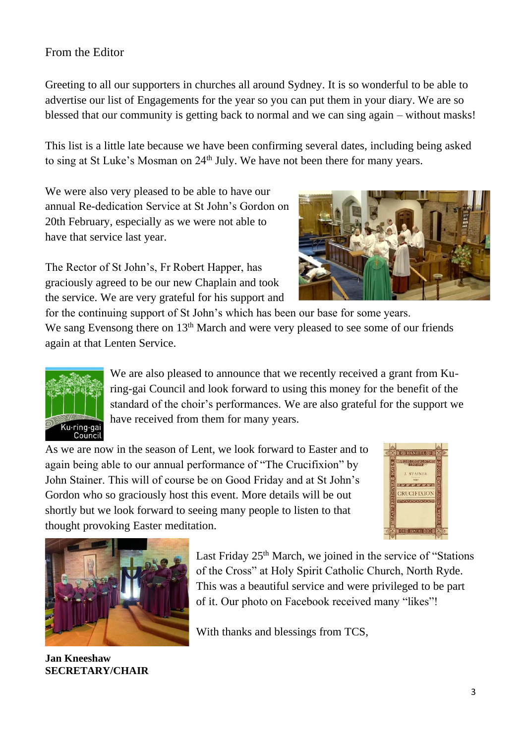## From the Editor

Greeting to all our supporters in churches all around Sydney. It is so wonderful to be able to advertise our list of Engagements for the year so you can put them in your diary. We are so blessed that our community is getting back to normal and we can sing again – without masks!

This list is a little late because we have been confirming several dates, including being asked to sing at St Luke's Mosman on 24<sup>th</sup> July. We have not been there for many years.

We were also very pleased to be able to have our annual Re-dedication Service at St John's Gordon on 20th February, especially as we were not able to have that service last year.

The Rector of St John's, Fr Robert Happer, has graciously agreed to be our new Chaplain and took the service. We are very grateful for his support and



for the continuing support of St John's which has been our base for some years. We sang Evensong there on 13<sup>th</sup> March and were very pleased to see some of our friends again at that Lenten Service.



We are also pleased to announce that we recently received a grant from Kuring-gai Council and look forward to using this money for the benefit of the standard of the choir's performances. We are also grateful for the support we have received from them for many years.

As we are now in the season of Lent, we look forward to Easter and to again being able to our annual performance of "The Crucifixion" by John Stainer. This will of course be on Good Friday and at St John's Gordon who so graciously host this event. More details will be out shortly but we look forward to seeing many people to listen to that thought provoking Easter meditation.





**Jan Kneeshaw SECRETARY/CHAIR**

Last Friday 25<sup>th</sup> March, we joined in the service of "Stations" of the Cross" at Holy Spirit Catholic Church, North Ryde. This was a beautiful service and were privileged to be part of it. Our photo on Facebook received many "likes"!

With thanks and blessings from TCS,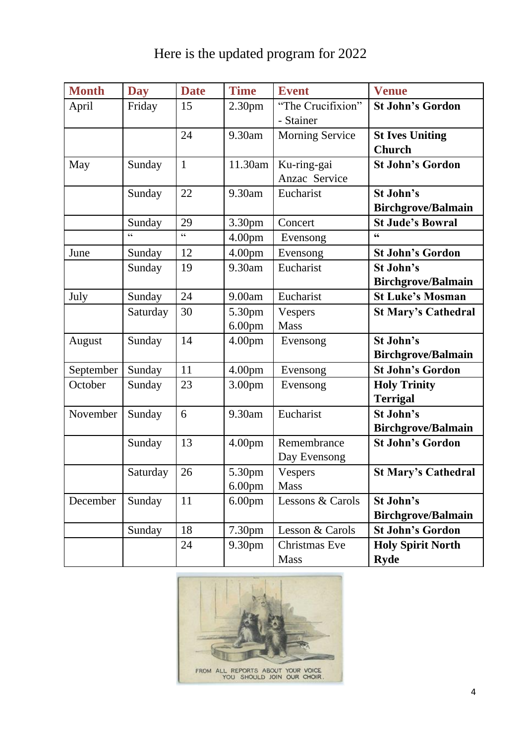| <b>Month</b> | <b>Day</b>                                 | <b>Date</b>  | <b>Time</b>        | <b>Event</b>           | <b>Venue</b>               |
|--------------|--------------------------------------------|--------------|--------------------|------------------------|----------------------------|
| April        | Friday                                     | 15           | 2.30 <sub>pm</sub> | "The Crucifixion"      | <b>St John's Gordon</b>    |
|              |                                            |              |                    | - Stainer              |                            |
|              |                                            | 24           | 9.30am             | <b>Morning Service</b> | <b>St Ives Uniting</b>     |
|              |                                            |              |                    |                        | <b>Church</b>              |
| May          | Sunday                                     | $\mathbf{1}$ | 11.30am            | Ku-ring-gai            | <b>St John's Gordon</b>    |
|              |                                            |              |                    | Anzac Service          |                            |
|              | Sunday                                     | 22           | 9.30am             | Eucharist              | St John's                  |
|              |                                            |              |                    |                        | <b>Birchgrove/Balmain</b>  |
|              | Sunday                                     | 29           | 3.30pm             | Concert                | <b>St Jude's Bowral</b>    |
|              | $\boldsymbol{\zeta} \, \boldsymbol{\zeta}$ | $\epsilon$   | 4.00pm             | Evensong               | $\mathbf{66}$              |
| June         | Sunday                                     | 12           | 4.00 <sub>pm</sub> | Evensong               | <b>St John's Gordon</b>    |
|              | Sunday                                     | 19           | 9.30am             | Eucharist              | St John's                  |
|              |                                            |              |                    |                        | <b>Birchgrove/Balmain</b>  |
| July         | Sunday                                     | 24           | 9.00am             | Eucharist              | <b>St Luke's Mosman</b>    |
|              | Saturday                                   | 30           | 5.30pm             | Vespers                | <b>St Mary's Cathedral</b> |
|              |                                            |              | 6.00pm             | <b>Mass</b>            |                            |
| August       | Sunday                                     | 14           | 4.00 <sub>pm</sub> | Evensong               | St John's                  |
|              |                                            |              |                    |                        | <b>Birchgrove/Balmain</b>  |
| September    | Sunday                                     | 11           | 4.00 <sub>pm</sub> | Evensong               | <b>St John's Gordon</b>    |
| October      | Sunday                                     | 23           | 3.00 <sub>pm</sub> | Evensong               | <b>Holy Trinity</b>        |
|              |                                            |              |                    |                        | <b>Terrigal</b>            |
| November     | Sunday                                     | 6            | 9.30am             | Eucharist              | St John's                  |
|              |                                            |              |                    |                        | <b>Birchgrove/Balmain</b>  |
|              | Sunday                                     | 13           | 4.00 <sub>pm</sub> | Remembrance            | <b>St John's Gordon</b>    |
|              |                                            |              |                    | Day Evensong           |                            |
|              | Saturday                                   | 26           | 5.30pm             | Vespers                | <b>St Mary's Cathedral</b> |
|              |                                            |              | 6.00 <sub>pm</sub> | Mass                   |                            |
| December     | Sunday                                     | 11           | 6.00 <sub>pm</sub> | Lessons & Carols       | St John's                  |
|              |                                            |              |                    |                        | <b>Birchgrove/Balmain</b>  |
|              | Sunday                                     | 18           | 7.30 <sub>pm</sub> | Lesson & Carols        | <b>St John's Gordon</b>    |
|              |                                            | 24           | 9.30pm             | Christmas Eve          | <b>Holy Spirit North</b>   |
|              |                                            |              |                    | <b>Mass</b>            | <b>Ryde</b>                |



FROM ALL REPORTS ABOUT YOUR VOICE